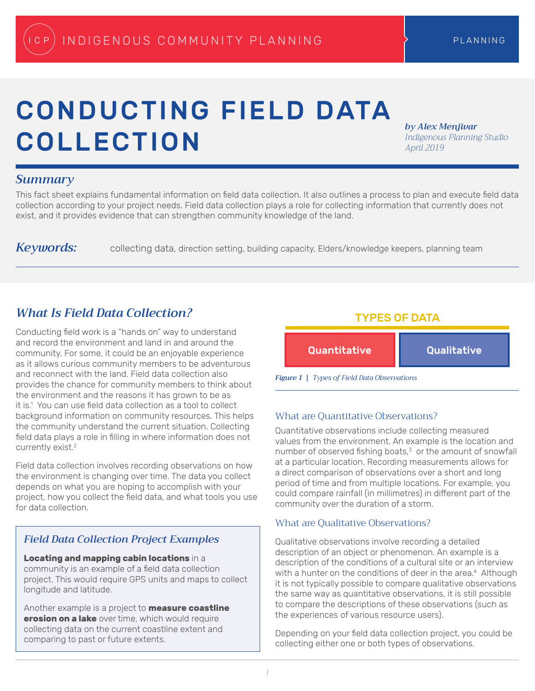# CONDUCTING FIELD DATA COLLECTION

*by Alex Menjivar Indigenous Planning Studio April 2019*

### *Summary*

This fact sheet explains fundamental information on field data collection. It also outlines a process to plan and execute field data collection according to your project needs. Field data collection plays a role for collecting information that currently does not exist, and it provides evidence that can strengthen community knowledge of the land.

Keywords: collecting data, direction setting, building capacity, Elders/knowledge keepers, planning team

# *What Is Field Data Collection?*

Conducting field work is a "hands on" way to understand and record the environment and land in and around the community. For some, it could be an enjoyable experience as it allows curious community members to be adventurous and reconnect with the land. Field data collection also provides the chance for community members to think about the environment and the reasons it has grown to be as it is.<sup>1</sup> You can use field data collection as a tool to collect background information on community resources. This helps the community understand the current situation. Collecting field data plays a role in filling in where information does not currently exist.<sup>2</sup>

Field data collection involves recording observations on how the environment is changing over time. The data you collect depends on what you are hoping to accomplish with your project, how you collect the field data, and what tools you use for data collection.

### *Field Data Collection Project Examples*

**Locating and mapping cabin locations** in a community is an example of a field data collection project. This would require GPS units and maps to collect longitude and latitude.

Another example is a project to **measure coastline erosion on a lake** over time, which would require collecting data on the current coastline extent and comparing to past or future extents.



*Figure 1 | Types of Field Data Observations*

### What are Quantitative Observations?

Quantitative observations include collecting measured values from the environment. An example is the location and number of observed fishing boats,<sup>3</sup> or the amount of snowfall at a particular location. Recording measurements allows for a direct comparison of observations over a short and long period of time and from multiple locations. For example, you could compare rainfall (in millimetres) in different part of the community over the duration of a storm.

### What are Qualitative Observations?

Qualitative observations involve recording a detailed description of an object or phenomenon. An example is a description of the conditions of a cultural site or an interview with a hunter on the conditions of deer in the area.<sup>4</sup> Although it is not typically possible to compare qualitative observations the same way as quantitative observations, it is still possible to compare the descriptions of these observations (such as the experiences of various resource users).

Depending on your field data collection project, you could be collecting either one or both types of observations.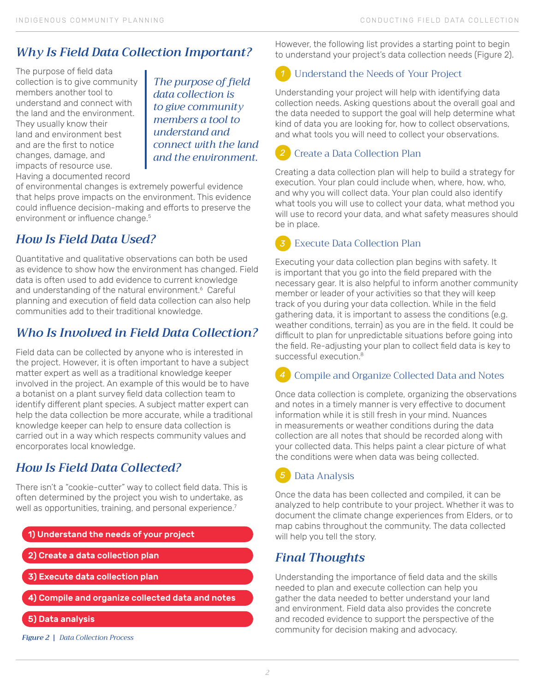# *Why Is Field Data Collection Important?*

The purpose of field data collection is to give community members another tool to understand and connect with the land and the environment. They usually know their land and environment best and are the first to notice changes, damage, and impacts of resource use. Having a documented record

*The purpose of field data collection is to give community members a tool to understand and connect with the land and the environment.*

of environmental changes is extremely powerful evidence that helps prove impacts on the environment. This evidence could influence decision-making and efforts to preserve the environment or influence change.<sup>5</sup>

# *How Is Field Data Used?*

Quantitative and qualitative observations can both be used as evidence to show how the environment has changed. Field data is often used to add evidence to current knowledge and understanding of the natural environment.<sup>6</sup> Careful planning and execution of field data collection can also help communities add to their traditional knowledge.

# *Who Is Involved in Field Data Collection?*

Field data can be collected by anyone who is interested in the project. However, it is often important to have a subject matter expert as well as a traditional knowledge keeper involved in the project. An example of this would be to have a botanist on a plant survey field data collection team to identify different plant species. A subject matter expert can help the data collection be more accurate, while a traditional knowledge keeper can help to ensure data collection is carried out in a way which respects community values and encorporates local knowledge.

# *How Is Field Data Collected?*

There isn't a "cookie-cutter" way to collect field data. This is often determined by the project you wish to undertake, as well as opportunities, training, and personal experience.<sup>7</sup>

- 1) Understand the needs of your project
- 2) Create a data collection plan
- 3) Execute data collection plan
- 4) Compile and organize collected data and notes
- 5) Data analysis
- *Figure 2 | Data Collection Process*

However, the following list provides a starting point to begin to understand your project's data collection needs (Figure 2).

#### Understand the Needs of Your Project *1*

Understanding your project will help with identifying data collection needs. Asking questions about the overall goal and the data needed to support the goal will help determine what kind of data you are looking for, how to collect observations, and what tools you will need to collect your observations.

#### Create a Data Collection Plan *2*

Creating a data collection plan will help to build a strategy for execution. Your plan could include when, where, how, who, and why you will collect data. Your plan could also identify what tools you will use to collect your data, what method you will use to record your data, and what safety measures should be in place.

### Execute Data Collection Plan

Executing your data collection plan begins with safety. It is important that you go into the field prepared with the necessary gear. It is also helpful to inform another community member or leader of your activities so that they will keep track of you during your data collection. While in the field gathering data, it is important to assess the conditions (e.g. weather conditions, terrain) as you are in the field. It could be difficult to plan for unpredictable situations before going into the field. Re-adjusting your plan to collect field data is key to successful execution.<sup>8</sup>

#### Compile and Organize Collected Data and Notes *4*

Once data collection is complete, organizing the observations and notes in a timely manner is very effective to document information while it is still fresh in your mind. Nuances in measurements or weather conditions during the data collection are all notes that should be recorded along with your collected data. This helps paint a clear picture of what the conditions were when data was being collected.

# Data Analysis

Once the data has been collected and compiled, it can be analyzed to help contribute to your project. Whether it was to document the climate change experiences from Elders, or to map cabins throughout the community. The data collected will help you tell the story.

## *Final Thoughts*

Understanding the importance of field data and the skills needed to plan and execute collection can help you gather the data needed to better understand your land and environment. Field data also provides the concrete and recoded evidence to support the perspective of the community for decision making and advocacy.